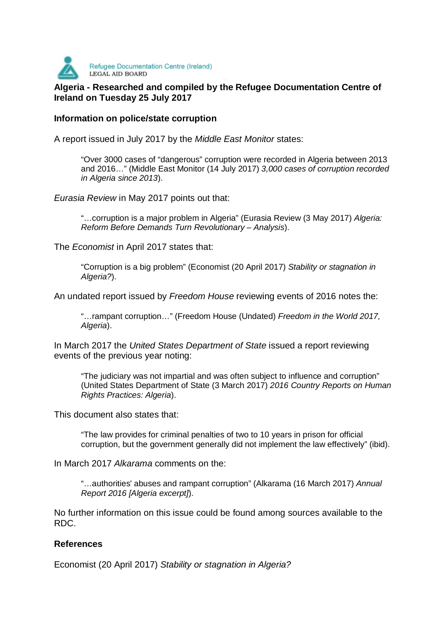

## **Algeria - LEGAL AID BOARD**<br>Algeria - Researched and compiled by the Refugee Documentation Centre of **Ireland on Tuesday 25 July 2017**

## **Information on police/state corruption**

A report issued in July 2017 by the Middle East Monitor states:

"Over 3000 cases of "dangerous" corruption were recorded in Algeria between 2013 and 2016…" (Middle East Monitor (14 July 2017) 3,000 cases of corruption recorded in Algeria since 2013).

Eurasia Review in May 2017 points out that:

"...corruption is a major problem in Algeria" (Eurasia Review (3 May 2017) Algeria: Reform Before Demands Turn Revolutionary – Analysis).

The Economist in April 2017 states that:

"Corruption is a big problem" (Economist (20 April 2017) Stability or stagnation in Algeria?).

An undated report issued by Freedom House reviewing events of 2016 notes the:

"…rampant corruption…" (Freedom House (Undated) Freedom in the World 2017, Algeria).

In March 2017 the United States Department of State issued a report reviewing events of the previous year noting:

"The judiciary was not impartial and was often subject to influence and corruption" (United States Department of State (3 March 2017) 2016 Country Reports on Human Rights Practices: Algeria).

This document also states that:

"The law provides for criminal penalties of two to 10 years in prison for official corruption, but the government generally did not implement the law effectively" (ibid).

In March 2017 Alkarama comments on the:

"…authorities' abuses and rampant corruption" (Alkarama (16 March 2017) Annual Report 2016 [Algeria excerpt]).

No further information on this issue could be found among sources available to the RDC.

## **References**

Economist (20 April 2017) Stability or stagnation in Algeria?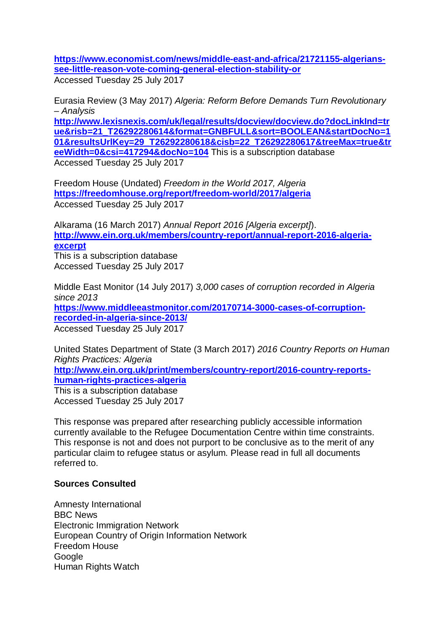**https://www.economist.com/news/middle-east-and-africa/21721155-algerianssee-little-reason-vote-coming-general-election-stability-or** Accessed Tuesday 25 July 2017

Eurasia Review (3 May 2017) Algeria: Reform Before Demands Turn Revolutionary – Analysis

**http://www.lexisnexis.com/uk/legal/results/docview/docview.do?docLinkInd=tr ue&risb=21\_T26292280614&format=GNBFULL&sort=BOOLEAN&startDocNo=1 01&resultsUrlKey=29\_T26292280618&cisb=22\_T26292280617&treeMax=true&tr eeWidth=0&csi=417294&docNo=104** This is a subscription database Accessed Tuesday 25 July 2017

Freedom House (Undated) Freedom in the World 2017, Algeria **https://freedomhouse.org/report/freedom-world/2017/algeria** Accessed Tuesday 25 July 2017

Alkarama (16 March 2017) Annual Report 2016 [Algeria excerpt]). **http://www.ein.org.uk/members/country-report/annual-report-2016-algeriaexcerpt** This is a subscription database

Accessed Tuesday 25 July 2017

Middle East Monitor (14 July 2017) 3,000 cases of corruption recorded in Algeria since 2013 **https://www.middleeastmonitor.com/20170714-3000-cases-of-corruptionrecorded-in-algeria-since-2013/** Accessed Tuesday 25 July 2017

United States Department of State (3 March 2017) 2016 Country Reports on Human Rights Practices: Algeria **http://www.ein.org.uk/print/members/country-report/2016-country-reportshuman-rights-practices-algeria** This is a subscription database Accessed Tuesday 25 July 2017

This response was prepared after researching publicly accessible information currently available to the Refugee Documentation Centre within time constraints. This response is not and does not purport to be conclusive as to the merit of any particular claim to refugee status or asylum. Please read in full all documents referred to.

## **Sources Consulted**

Amnesty International BBC News Electronic Immigration Network European Country of Origin Information Network Freedom House Google Human Rights Watch